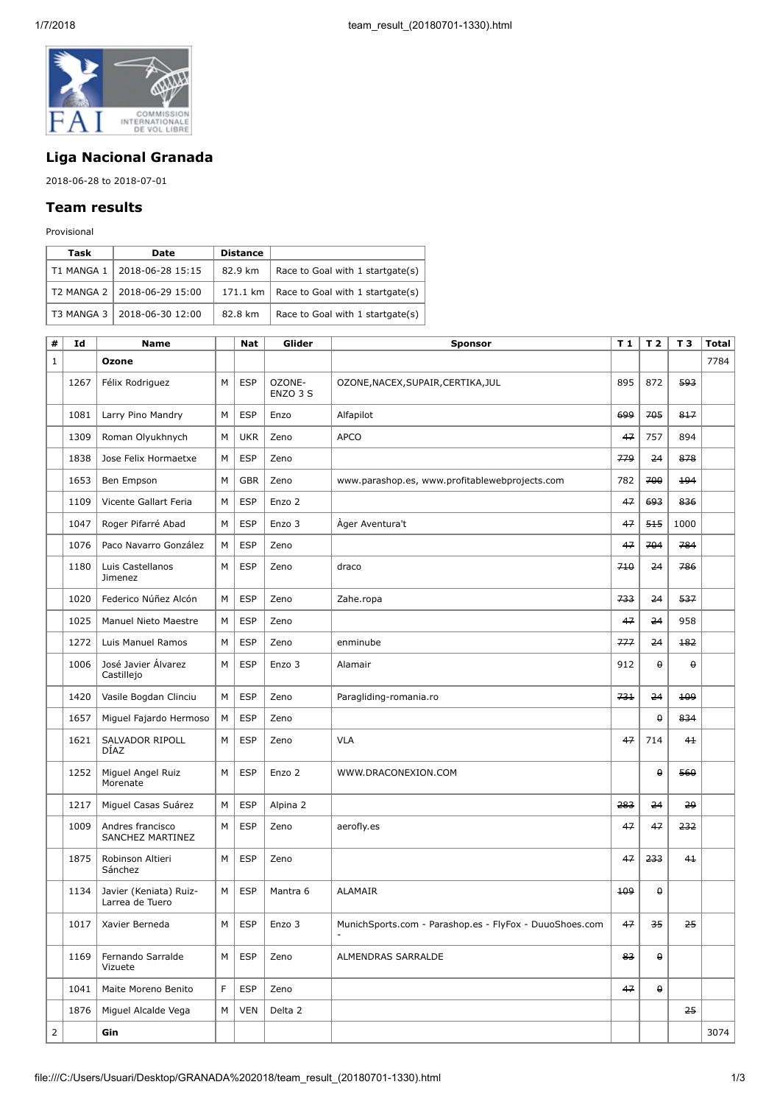

## **Liga Nacional Granada**

2018-06-28 to 2018-07-01

## **Team results**

Provisional

| Task       | Date                        | <b>Distance</b> |                                  |
|------------|-----------------------------|-----------------|----------------------------------|
| T1 MANGA 1 | 2018-06-28 15:15            | 82.9 km         | Race to Goal with 1 startgate(s) |
|            | T2 MANGA 2 2018-06-29 15:00 | 171.1 km        | Race to Goal with 1 startgate(s) |
|            | T3 MANGA 3 2018-06-30 12:00 | 82.8 km         | Race to Goal with 1 startgate(s) |

| #              | Id   | <b>Name</b>                               |   | <b>Nat</b> | Glider             | <b>Sponsor</b>                                          | T 1 | T <sub>2</sub>     | T <sub>3</sub> | <b>Total</b> |
|----------------|------|-------------------------------------------|---|------------|--------------------|---------------------------------------------------------|-----|--------------------|----------------|--------------|
| $1\,$          |      | Ozone                                     |   |            |                    |                                                         |     |                    |                | 7784         |
|                | 1267 | Félix Rodriguez                           | M | <b>ESP</b> | OZONE-<br>ENZO 3 S | OZONE, NACEX, SUPAIR, CERTIKA, JUL                      | 895 | 872                | 593            |              |
|                | 1081 | Larry Pino Mandry                         | M | <b>ESP</b> | Enzo               | Alfapilot                                               | 699 | 705                | 817            |              |
|                | 1309 | Roman Olyukhnych                          | М | <b>UKR</b> | Zeno               | <b>APCO</b>                                             | 47  | 757                | 894            |              |
|                | 1838 | Jose Felix Hormaetxe                      | М | <b>ESP</b> | Zeno               |                                                         | 779 | 24                 | 878            |              |
|                | 1653 | Ben Empson                                | М | <b>GBR</b> | Zeno               | www.parashop.es, www.profitablewebprojects.com          | 782 | 700                | 194            |              |
|                | 1109 | Vicente Gallart Feria                     | М | <b>ESP</b> | Enzo 2             |                                                         | 47  | 693                | 836            |              |
|                | 1047 | Roger Pifarré Abad                        | М | <b>ESP</b> | Enzo 3             | Ager Aventura't                                         | 47  | 515                | 1000           |              |
|                | 1076 | Paco Navarro González                     | М | <b>ESP</b> | Zeno               |                                                         | 47  | 704                | 784            |              |
|                | 1180 | Luis Castellanos<br>Jimenez               | M | <b>ESP</b> | Zeno               | draco                                                   | 710 | 24                 | 786            |              |
|                | 1020 | Federico Núñez Alcón                      | М | <b>ESP</b> | Zeno               | Zahe.ropa                                               | 733 | 24                 | 537            |              |
|                | 1025 | Manuel Nieto Maestre                      | M | <b>ESP</b> | Zeno               |                                                         | 47  | 24                 | 958            |              |
|                | 1272 | Luis Manuel Ramos                         | M | <b>ESP</b> | Zeno               | enminube                                                | 777 | 24                 | 182            |              |
|                | 1006 | José Javier Álvarez<br>Castillejo         | M | <b>ESP</b> | Enzo 3             | Alamair                                                 | 912 | $\pmb{\mathsf{Q}}$ | 0              |              |
|                | 1420 | Vasile Bogdan Clinciu                     | М | <b>ESP</b> | Zeno               | Paragliding-romania.ro                                  | 731 | 24                 | 109            |              |
|                | 1657 | Miguel Fajardo Hermoso                    | М | <b>ESP</b> | Zeno               |                                                         |     | $\pmb{\mathsf{Q}}$ | 834            |              |
|                | 1621 | SALVADOR RIPOLL<br><b>DIAZ</b>            | М | <b>ESP</b> | Zeno               | <b>VLA</b>                                              | 47  | 714                | 41             |              |
|                | 1252 | Miguel Angel Ruiz<br>Morenate             | M | <b>ESP</b> | Enzo 2             | WWW.DRACONEXION.COM                                     |     | $\pmb{\Theta}$     | 560            |              |
|                | 1217 | Miguel Casas Suárez                       | М | <b>ESP</b> | Alpina 2           |                                                         | 283 | 24                 | 29             |              |
|                | 1009 | Andres francisco<br>SANCHEZ MARTINEZ      | М | <b>ESP</b> | Zeno               | aerofly.es                                              | 47  | 47                 | 232            |              |
|                | 1875 | Robinson Altieri<br>Sánchez               | М | <b>ESP</b> | Zeno               |                                                         | 47  | 233                | 41             |              |
|                | 1134 | Javier (Keniata) Ruiz-<br>Larrea de Tuero | M | <b>ESP</b> | Mantra 6           | <b>ALAMAIR</b>                                          | 109 | $\pmb{\theta}$     |                |              |
|                | 1017 | Xavier Berneda                            | м | ESP        | Enzo 3             | MunichSports.com - Parashop.es - FlyFox - DuuoShoes.com | 47  | 35                 | 25             |              |
|                | 1169 | Fernando Sarralde<br>Vizuete              | М | <b>ESP</b> | Zeno               | ALMENDRAS SARRALDE                                      | 83  | θ                  |                |              |
|                | 1041 | Maite Moreno Benito                       | F | <b>ESP</b> | Zeno               |                                                         | 47  | $\pmb{0}$          |                |              |
|                | 1876 | Miguel Alcalde Vega                       | М | <b>VEN</b> | Delta 2            |                                                         |     |                    | 25             |              |
| $\overline{2}$ |      | Gin                                       |   |            |                    |                                                         |     |                    |                | 3074         |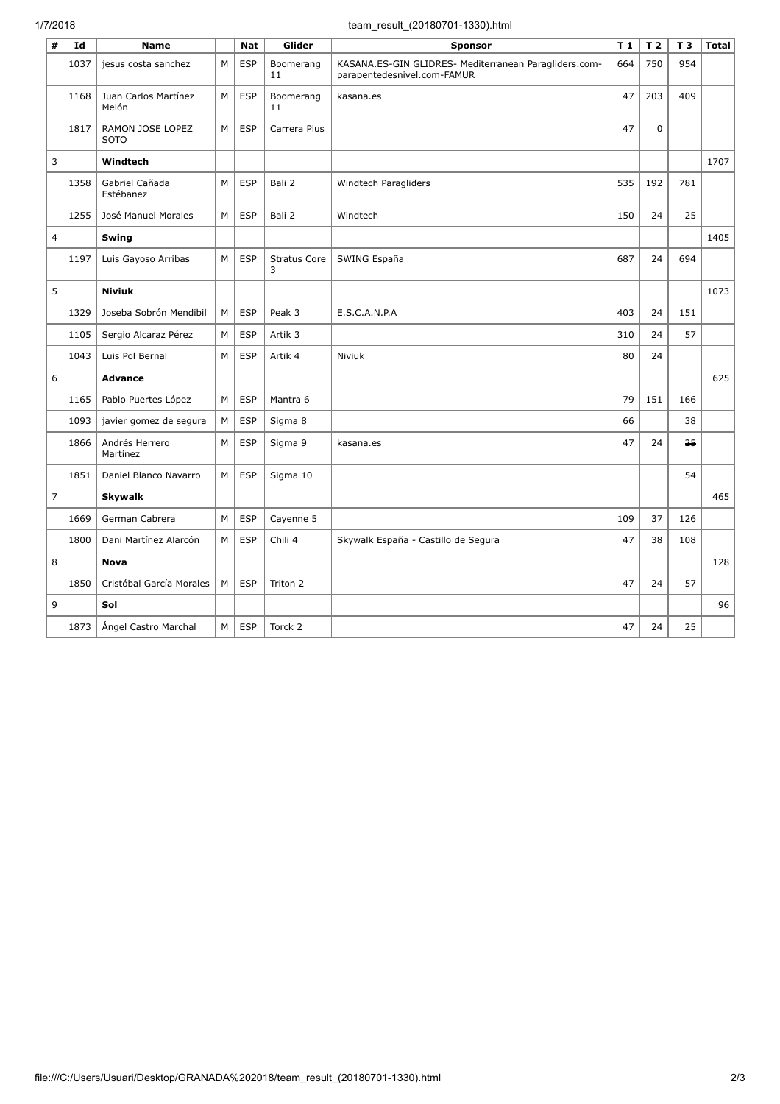## 1/7/2018 team\_result\_(20180701-1330).html

| #              | Id   | <b>Name</b>                     |   | <b>Nat</b> | Glider                   | <b>Sponsor</b>                                                                       | T <sub>1</sub> | T <sub>2</sub> | T <sub>3</sub> | <b>Total</b> |
|----------------|------|---------------------------------|---|------------|--------------------------|--------------------------------------------------------------------------------------|----------------|----------------|----------------|--------------|
|                | 1037 | jesus costa sanchez             | M | <b>ESP</b> | Boomerang<br>11          | KASANA.ES-GIN GLIDRES- Mediterranean Paragliders.com-<br>parapentedesnivel.com-FAMUR | 664            | 750            | 954            |              |
|                | 1168 | Juan Carlos Martínez<br>Melón   | M | <b>ESP</b> | Boomerang<br>11          | kasana.es                                                                            | 47             | 203            | 409            |              |
|                | 1817 | RAMON JOSE LOPEZ<br><b>SOTO</b> | М | <b>ESP</b> | Carrera Plus             |                                                                                      | 47             | $\mathbf 0$    |                |              |
| 3              |      | Windtech                        |   |            |                          |                                                                                      |                |                |                | 1707         |
|                | 1358 | Gabriel Cañada<br>Estébanez     | M | <b>ESP</b> | Bali 2                   | Windtech Paragliders                                                                 | 535            | 192            | 781            |              |
|                | 1255 | José Manuel Morales             | M | <b>ESP</b> | Bali 2                   | Windtech                                                                             | 150            | 24             | 25             |              |
| $\overline{4}$ |      | Swing                           |   |            |                          |                                                                                      |                |                |                | 1405         |
|                | 1197 | Luis Gayoso Arribas             | M | <b>ESP</b> | <b>Stratus Core</b><br>3 | SWING España                                                                         | 687            | 24             | 694            |              |
| 5              |      | <b>Niviuk</b>                   |   |            |                          |                                                                                      |                |                |                | 1073         |
|                | 1329 | Joseba Sobrón Mendibil          | M | <b>ESP</b> | Peak 3                   | E.S.C.A.N.P.A                                                                        | 403            | 24             | 151            |              |
|                | 1105 | Sergio Alcaraz Pérez            | M | <b>ESP</b> | Artik 3                  |                                                                                      | 310            | 24             | 57             |              |
|                | 1043 | Luis Pol Bernal                 | M | <b>ESP</b> | Artik 4                  | Niviuk                                                                               | 80             | 24             |                |              |
| 6              |      | <b>Advance</b>                  |   |            |                          |                                                                                      |                |                |                | 625          |
|                | 1165 | Pablo Puertes López             | M | <b>ESP</b> | Mantra 6                 |                                                                                      | 79             | 151            | 166            |              |
|                | 1093 | javier gomez de segura          | М | <b>ESP</b> | Sigma 8                  |                                                                                      | 66             |                | 38             |              |
|                | 1866 | Andrés Herrero<br>Martínez      | M | <b>ESP</b> | Sigma 9                  | kasana.es                                                                            | 47             | 24             | 25             |              |
|                | 1851 | Daniel Blanco Navarro           | M | <b>ESP</b> | Sigma 10                 |                                                                                      |                |                | 54             |              |
| $\overline{7}$ |      | <b>Skywalk</b>                  |   |            |                          |                                                                                      |                |                |                | 465          |
|                | 1669 | German Cabrera                  | M | <b>ESP</b> | Cayenne 5                |                                                                                      | 109            | 37             | 126            |              |
|                | 1800 | Dani Martínez Alarcón           | M | <b>ESP</b> | Chili 4                  | Skywalk España - Castillo de Segura                                                  | 47             | 38             | 108            |              |
| 8              |      | <b>Nova</b>                     |   |            |                          |                                                                                      |                |                |                | 128          |
|                | 1850 | Cristóbal García Morales        | M | <b>ESP</b> | Triton 2                 |                                                                                      | 47             | 24             | 57             |              |
| 9              |      | Sol                             |   |            |                          |                                                                                      |                |                |                | 96           |
|                | 1873 | Angel Castro Marchal            | M | <b>ESP</b> | Torck 2                  |                                                                                      | 47             | 24             | 25             |              |